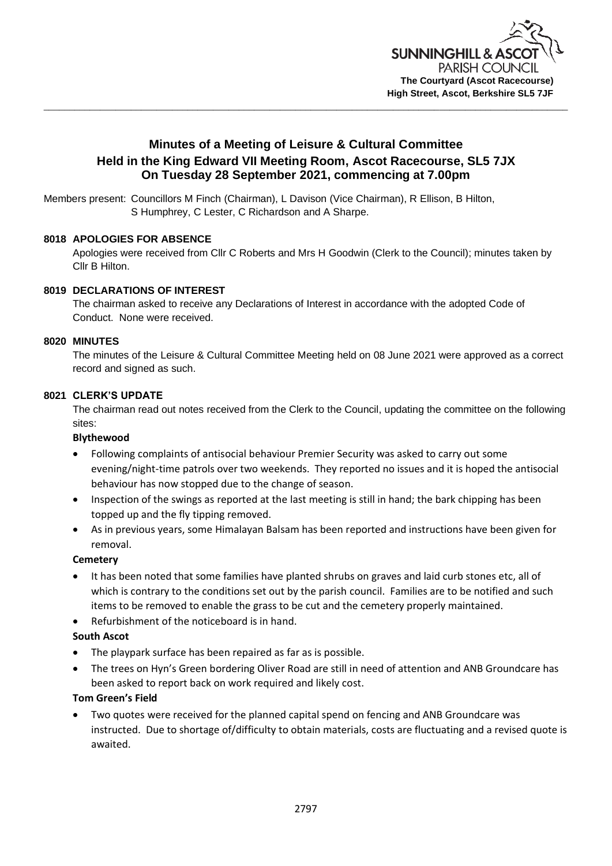

# **Minutes of a Meeting of Leisure & Cultural Committee Held in the King Edward VII Meeting Room, Ascot Racecourse, SL5 7JX On Tuesday 28 September 2021, commencing at 7.00pm**

Members present: Councillors M Finch (Chairman), L Davison (Vice Chairman), R Ellison, B Hilton, S Humphrey, C Lester, C Richardson and A Sharpe.

## **8018 APOLOGIES FOR ABSENCE**

Apologies were received from Cllr C Roberts and Mrs H Goodwin (Clerk to the Council); minutes taken by Cllr B Hilton.

## **8019 DECLARATIONS OF INTEREST**

The chairman asked to receive any Declarations of Interest in accordance with the adopted Code of Conduct. None were received.

### **8020 MINUTES**

The minutes of the Leisure & Cultural Committee Meeting held on 08 June 2021 were approved as a correct record and signed as such.

### **8021 CLERK'S UPDATE**

The chairman read out notes received from the Clerk to the Council, updating the committee on the following sites:

#### **Blythewood**

- Following complaints of antisocial behaviour Premier Security was asked to carry out some evening/night-time patrols over two weekends. They reported no issues and it is hoped the antisocial behaviour has now stopped due to the change of season.
- Inspection of the swings as reported at the last meeting is still in hand; the bark chipping has been topped up and the fly tipping removed.
- As in previous years, some Himalayan Balsam has been reported and instructions have been given for removal.

### **Cemetery**

- It has been noted that some families have planted shrubs on graves and laid curb stones etc, all of which is contrary to the conditions set out by the parish council. Families are to be notified and such items to be removed to enable the grass to be cut and the cemetery properly maintained.
- Refurbishment of the noticeboard is in hand.

### **South Ascot**

- The playpark surface has been repaired as far as is possible.
- The trees on Hyn's Green bordering Oliver Road are still in need of attention and ANB Groundcare has been asked to report back on work required and likely cost.

## **Tom Green's Field**

• Two quotes were received for the planned capital spend on fencing and ANB Groundcare was instructed. Due to shortage of/difficulty to obtain materials, costs are fluctuating and a revised quote is awaited.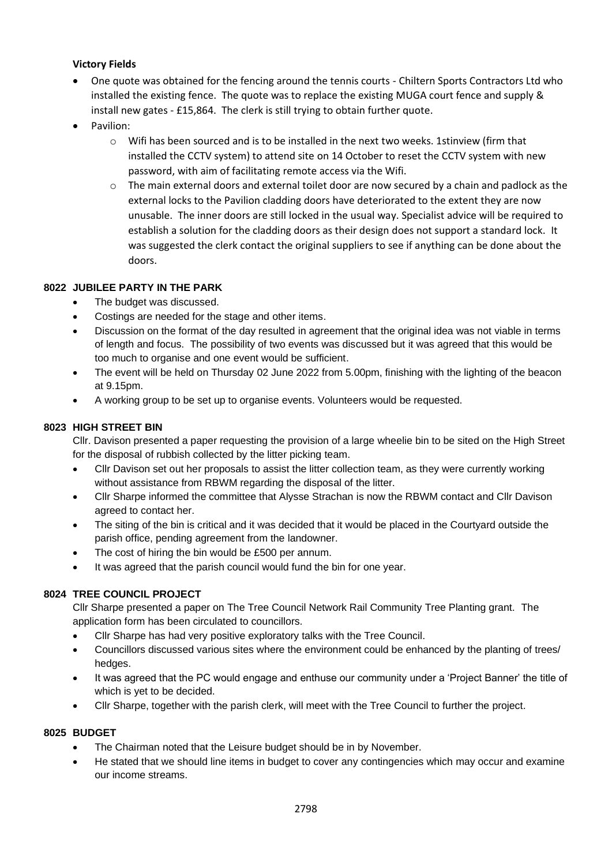# **Victory Fields**

- One quote was obtained for the fencing around the tennis courts Chiltern Sports Contractors Ltd who installed the existing fence. The quote was to replace the existing MUGA court fence and supply & install new gates - £15,864. The clerk is still trying to obtain further quote.
- Pavilion:
	- o Wifi has been sourced and is to be installed in the next two weeks. 1stinview (firm that installed the CCTV system) to attend site on 14 October to reset the CCTV system with new password, with aim of facilitating remote access via the Wifi.
	- o The main external doors and external toilet door are now secured by a chain and padlock as the external locks to the Pavilion cladding doors have deteriorated to the extent they are now unusable. The inner doors are still locked in the usual way. Specialist advice will be required to establish a solution for the cladding doors as their design does not support a standard lock. It was suggested the clerk contact the original suppliers to see if anything can be done about the doors.

## **8022 JUBILEE PARTY IN THE PARK**

- The budget was discussed.
- Costings are needed for the stage and other items.
- Discussion on the format of the day resulted in agreement that the original idea was not viable in terms of length and focus. The possibility of two events was discussed but it was agreed that this would be too much to organise and one event would be sufficient.
- The event will be held on Thursday 02 June 2022 from 5.00pm, finishing with the lighting of the beacon at 9.15pm.
- A working group to be set up to organise events. Volunteers would be requested.

## **8023 HIGH STREET BIN**

Cllr. Davison presented a paper requesting the provision of a large wheelie bin to be sited on the High Street for the disposal of rubbish collected by the litter picking team.

- Cllr Davison set out her proposals to assist the litter collection team, as they were currently working without assistance from RBWM regarding the disposal of the litter.
- Cllr Sharpe informed the committee that Alysse Strachan is now the RBWM contact and Cllr Davison agreed to contact her.
- The siting of the bin is critical and it was decided that it would be placed in the Courtyard outside the parish office, pending agreement from the landowner.
- The cost of hiring the bin would be £500 per annum.
- It was agreed that the parish council would fund the bin for one year.

# **8024 TREE COUNCIL PROJECT**

Cllr Sharpe presented a paper on The Tree Council Network Rail Community Tree Planting grant. The application form has been circulated to councillors.

- Cllr Sharpe has had very positive exploratory talks with the Tree Council.
- Councillors discussed various sites where the environment could be enhanced by the planting of trees/ hedges.
- It was agreed that the PC would engage and enthuse our community under a 'Project Banner' the title of which is yet to be decided.
- Cllr Sharpe, together with the parish clerk, will meet with the Tree Council to further the project.

### **8025 BUDGET**

- The Chairman noted that the Leisure budget should be in by November.
- He stated that we should line items in budget to cover any contingencies which may occur and examine our income streams.